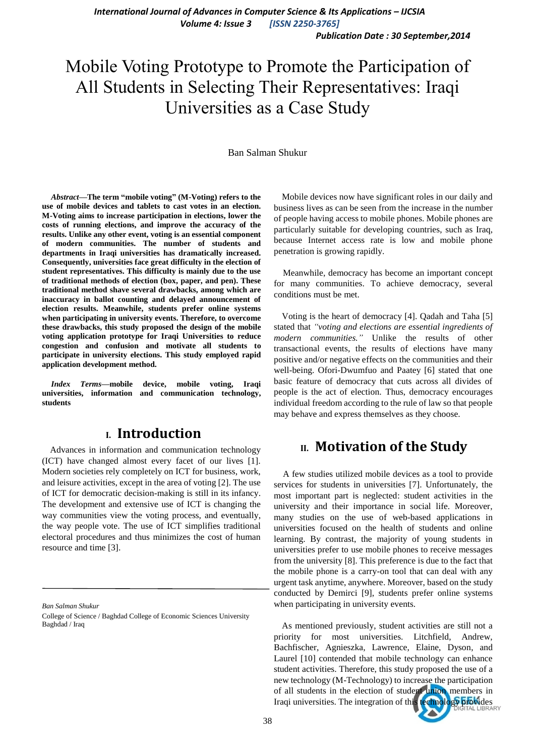*Publication Date : 30 September,2014*

# Mobile Voting Prototype to Promote the Participation of All Students in Selecting Their Representatives: Iraqi Universities as a Case Study

#### Ban Salman Shukur

*Abstract***—The term "mobile voting" (M-Voting) refers to the use of mobile devices and tablets to cast votes in an election. M-Voting aims to increase participation in elections, lower the costs of running elections, and improve the accuracy of the results. Unlike any other event, voting is an essential component of modern communities. The number of students and departments in Iraqi universities has dramatically increased. Consequently, universities face great difficulty in the election of student representatives. This difficulty is mainly due to the use of traditional methods of election (box, paper, and pen). These traditional method shave several drawbacks, among which are inaccuracy in ballot counting and delayed announcement of election results. Meanwhile, students prefer online systems when participating in university events. Therefore, to overcome these drawbacks, this study proposed the design of the mobile voting application prototype for Iraqi Universities to reduce congestion and confusion and motivate all students to participate in university elections. This study employed rapid application development method.**

*Index Terms—mobile device, mobile voting, Iraqi* **universities, information and communication technology, students**

### **I. Introduction**

Advances in information and communication technology (ICT) have changed almost every facet of our lives [1]. Modern societies rely completely on ICT for business, work, and leisure activities, except in the area of voting [2]. The use of ICT for democratic decision-making is still in its infancy. The development and extensive use of ICT is changing the way communities view the voting process, and eventually, the way people vote. The use of ICT simplifies traditional electoral procedures and thus minimizes the cost of human resource and time [3].

*Ban Salman Shukur*

Mobile devices now have significant roles in our daily and business lives as can be seen from the increase in the number of people having access to mobile phones. Mobile phones are particularly suitable for developing countries, such as Iraq, because Internet access rate is low and mobile phone penetration is growing rapidly.

Meanwhile, democracy has become an important concept for many communities. To achieve democracy, several conditions must be met.

Voting is the heart of democracy [4]. Qadah and Taha [5] stated that *"voting and elections are essential ingredients of modern communities."* Unlike the results of other transactional events, the results of elections have many positive and/or negative effects on the communities and their well-being. Ofori-Dwumfuo and Paatey [6] stated that one basic feature of democracy that cuts across all divides of people is the act of election. Thus, democracy encourages individual freedom according to the rule of law so that people may behave and express themselves as they choose.

## **II. Motivation of the Study**

A few studies utilized mobile devices as a tool to provide services for students in universities [7]. Unfortunately, the most important part is neglected: student activities in the university and their importance in social life. Moreover, many studies on the use of web-based applications in universities focused on the health of students and online learning. By contrast, the majority of young students in universities prefer to use mobile phones to receive messages from the university [8]. This preference is due to the fact that the mobile phone is a carry-on tool that can deal with any urgent task anytime, anywhere. Moreover, based on the study conducted by Demirci [9], students prefer online systems when participating in university events.

As mentioned previously, student activities are still not a priority for most universities. Litchfield, Andrew, Bachfischer, Agnieszka, Lawrence, Elaine, Dyson, and Laurel [10] contended that mobile technology can enhance student activities. Therefore, this study proposed the use of a new technology (M-Technology) to increase the participation of all students in the election of student union members in Iraqi universities. The integration of this technology provides

College of Science / Baghdad College of Economic Sciences University Baghdad / Iraq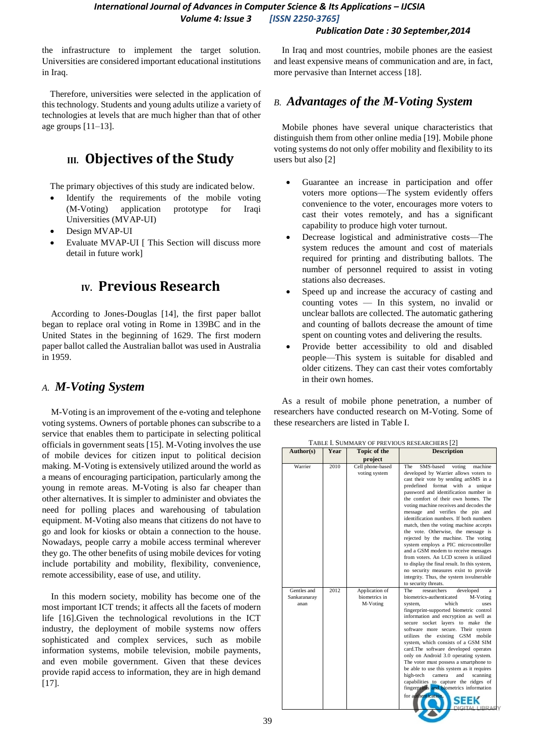#### *Publication Date : 30 September,2014*

the infrastructure to implement the target solution. Universities are considered important educational institutions in Iraq.

Therefore, universities were selected in the application of this technology. Students and young adults utilize a variety of technologies at levels that are much higher than that of other age groups [11–13].

## **III. Objectives of the Study**

The primary objectives of this study are indicated below.

- Identify the requirements of the mobile voting (M-Voting) application prototype for Iraqi Universities (MVAP-UI)
- Design MVAP-UI
- Evaluate MVAP-UI [ This Section will discuss more detail in future work]

## **IV. Previous Research**

According to Jones-Douglas [14], the first paper ballot began to replace oral voting in Rome in 139BC and in the United States in the beginning of 1629. The first modern paper ballot called the Australian ballot was used in Australia in 1959.

### *A. M-Voting System*

M-Voting is an improvement of the e-voting and telephone voting systems. Owners of portable phones can subscribe to a service that enables them to participate in selecting political officials in government seats [15]. M-Voting involves the use of mobile devices for citizen input to political decision making. M-Voting is extensively utilized around the world as a means of encouraging participation, particularly among the young in remote areas. M-Voting is also far cheaper than other alternatives. It is simpler to administer and obviates the need for polling places and warehousing of tabulation equipment. M-Voting also means that citizens do not have to go and look for kiosks or obtain a connection to the house. Nowadays, people carry a mobile access terminal wherever they go. The other benefits of using mobile devices for voting include portability and mobility, flexibility, convenience, remote accessibility, ease of use, and utility.

In this modern society, mobility has become one of the most important ICT trends; it affects all the facets of modern life [16].Given the technological revolutions in the ICT industry, the deployment of mobile systems now offers sophisticated and complex services, such as mobile information systems, mobile television, mobile payments, and even mobile government. Given that these devices provide rapid access to information, they are in high demand [17].

In Iraq and most countries, mobile phones are the easiest and least expensive means of communication and are, in fact, more pervasive than Internet access [18].

### *B. Advantages of the M-Voting System*

Mobile phones have several unique characteristics that distinguish them from other online media [19]. Mobile phone voting systems do not only offer mobility and flexibility to its users but also [2]

- Guarantee an increase in participation and offer voters more options—The system evidently offers convenience to the voter, encourages more voters to cast their votes remotely, and has a significant capability to produce high voter turnout.
- Decrease logistical and administrative costs—The system reduces the amount and cost of materials required for printing and distributing ballots. The number of personnel required to assist in voting stations also decreases.
- Speed up and increase the accuracy of casting and counting votes — In this system, no invalid or unclear ballots are collected. The automatic gathering and counting of ballots decrease the amount of time spent on counting votes and delivering the results.
- Provide better accessibility to old and disabled people—This system is suitable for disabled and older citizens. They can cast their votes comfortably in their own homes.

As a result of mobile phone penetration, a number of researchers have conducted research on M-Voting. Some of these researchers are listed in Table I.

|                                     |              |                                                                     | I ABLE I. DUNINAR I OF FREVIOUS RESEARCHERS [2]                                                                                                                                                                                                                                                                                                                                                                                                                                                                                                                                                                                                |
|-------------------------------------|--------------|---------------------------------------------------------------------|------------------------------------------------------------------------------------------------------------------------------------------------------------------------------------------------------------------------------------------------------------------------------------------------------------------------------------------------------------------------------------------------------------------------------------------------------------------------------------------------------------------------------------------------------------------------------------------------------------------------------------------------|
|                                     |              |                                                                     |                                                                                                                                                                                                                                                                                                                                                                                                                                                                                                                                                                                                                                                |
| Author(s)<br>Warrier                | Year<br>2010 | <b>Topic of the</b><br>project<br>Cell phone-based<br>voting system | <b>Description</b><br>SMS-based<br>The<br>voting<br>machine<br>developed by Warrier allows voters to<br>cast their vote by sending anSMS in a<br>predefined format with a<br>unique<br>password and identification number in<br>the comfort of their own homes. The<br>voting machine receives and decodes the<br>message and verifies the pin and<br>identification numbers. If both numbers<br>match, then the voting machine accepts<br>the vote. Otherwise, the message is<br>rejected by the machine. The voting<br>system employs a PIC microcontroller<br>and a GSM modem to receive messages<br>from voters. An LCD screen is utilized |
| Gentles and<br>Sankaranaray<br>anan | 2012         | Application of<br>biometrics in<br>M-Voting                         | to display the final result. In this system,<br>no security measures exist to provide<br>integrity. Thus, the system is vulnerable<br>to security threats.<br><b>The</b><br>researchers<br>developed<br>a<br>biometrics-authenticated<br>M-Voting<br>which<br>system,<br>uses<br>fingerprint-supported biometric control<br>information and encryption as well as<br>secure socket layers to make the<br>software more secure. Their system<br>the existing GSM<br>utilizes<br>mobile                                                                                                                                                          |
|                                     |              |                                                                     | system, which consists of a GSM SIM<br>card.The software developed operates<br>only on Android 3.0 operating system.<br>The voter must possess a smartphone to<br>be able to use this system as it requires<br>high-tech<br>camera<br>and<br>scanning<br>capabilities to capture the ridges of<br>fingerprints and biometrics information<br>for authentication.                                                                                                                                                                                                                                                                               |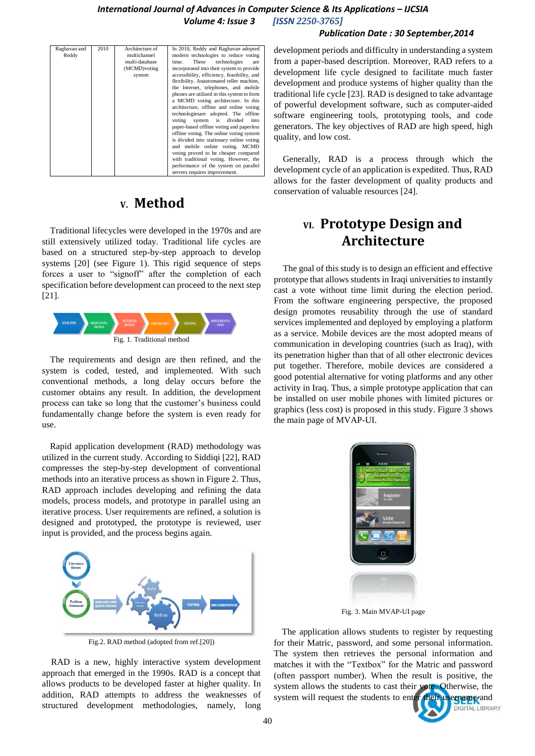#### *Publication Date : 30 September,2014*

| Raghavan and | 2010 | Architecture of | In 2010, Reddy and Raghavan adopted         |
|--------------|------|-----------------|---------------------------------------------|
| Reddy        |      | multichannel    | modern technologies to reduce voting        |
|              |      | multi-database  | These<br>technologies<br>time.<br>are       |
|              |      | (MCMD) voting   | incorporated into their system to provide   |
|              |      | system          | accessibility, efficiency, feasibility, and |
|              |      |                 | flexibility. Anautomated teller machine,    |
|              |      |                 | the Internet, telephones, and mobile        |
|              |      |                 | phones are utilized in this system to form  |
|              |      |                 | a MCMD voting architecture. In this         |
|              |      |                 | architecture, offline and online voting     |
|              |      |                 | technologiesare adopted. The offline        |
|              |      |                 | system is divided<br>voting<br>into         |
|              |      |                 | paper-based offline voting and paperless    |
|              |      |                 | offline voting. The online voting system    |
|              |      |                 | is divided into stationary online voting    |
|              |      |                 | and mobile online voting. MCMD              |
|              |      |                 | voting proved to be cheaper compared        |
|              |      |                 | with traditional voting. However, the       |
|              |      |                 | performance of the system on parallel       |
|              |      |                 |                                             |
|              |      |                 | servers requires improvement.               |

## **V. Method**

Traditional lifecycles were developed in the 1970s and are still extensively utilized today. Traditional life cycles are based on a structured step-by-step approach to develop systems [20] (see Figure 1). This rigid sequence of steps forces a user to "signoff" after the completion of each specification before development can proceed to the next step [21].



The requirements and design are then refined, and the system is coded, tested, and implemented. With such conventional methods, a long delay occurs before the customer obtains any result. In addition, the development process can take so long that the customer's business could fundamentally change before the system is even ready for use.

Rapid application development (RAD) methodology was utilized in the current study. According to Siddiqi [22], RAD compresses the step-by-step development of conventional methods into an iterative process as shown in Figure 2. Thus, RAD approach includes developing and refining the data models, process models, and prototype in parallel using an iterative process. User requirements are refined, a solution is designed and prototyped, the prototype is reviewed, user input is provided, and the process begins again.



Fig.2. RAD method (adopted from ref.[20])

RAD is a new, highly interactive system development approach that emerged in the 1990s. RAD is a concept that allows products to be developed faster at higher quality. In addition, RAD attempts to address the weaknesses of structured development methodologies, namely, long

development periods and difficulty in understanding a system from a paper-based description. Moreover, RAD refers to a development life cycle designed to facilitate much faster development and produce systems of higher quality than the traditional life cycle [23]. RAD is designed to take advantage of powerful development software, such as computer-aided software engineering tools, prototyping tools, and code generators. The key objectives of RAD are high speed, high quality, and low cost.

Generally, RAD is a process through which the development cycle of an application is expedited. Thus, RAD allows for the faster development of quality products and conservation of valuable resources [24].

## **VI. Prototype Design and Architecture**

The goal of this study is to design an efficient and effective prototype that allows students in Iraqi universities to instantly cast a vote without time limit during the election period. From the software engineering perspective, the proposed design promotes reusability through the use of standard services implemented and deployed by employing a platform as a service. Mobile devices are the most adopted means of communication in developing countries (such as Iraq), with its penetration higher than that of all other electronic devices put together. Therefore, mobile devices are considered a good potential alternative for voting platforms and any other activity in Iraq. Thus, a simple prototype application that can be installed on user mobile phones with limited pictures or graphics (less cost) is proposed in this study. Figure 3 shows the main page of MVAP-UI. Fig. 1. Traditional mediant of the students to the students the students of the students of the students the students to enter the students to the students to the students the students to the students to the students to th



Fig. 3. Main MVAP-UI page

The application allows students to register by requesting for their Matric, password, and some personal information. The system then retrieves the personal information and matches it with the "Textbox" for the Matric and password (often passport number). When the result is positive, the system allows the students to cast their vote. Otherwise, the

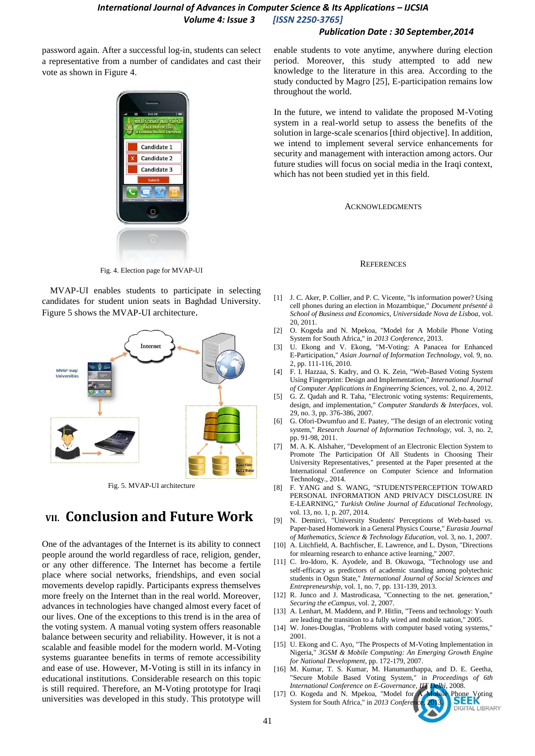#### *Publication Date : 30 September,2014*

password again. After a successful log-in, students can select a representative from a number of candidates and cast their vote as shown in Figure 4.



Fig. 4. Election page for MVAP-UI

MVAP-UI enables students to participate in selecting candidates for student union seats in Baghdad University. Figure 5 shows the MVAP-UI architecture.



Fig. 5. MVAP-UI architecture

## **VII. Conclusion and Future Work**

One of the advantages of the Internet is its ability to connect people around the world regardless of race, religion, gender, or any other difference. The Internet has become a fertile place where social networks, friendships, and even social movements develop rapidly. Participants express themselves more freely on the Internet than in the real world. Moreover, advances in technologies have changed almost every facet of our lives. One of the exceptions to this trend is in the area of the voting system. A manual voting system offers reasonable balance between security and reliability. However, it is not a scalable and feasible model for the modern world. M-Voting systems guarantee benefits in terms of remote accessibility and ease of use. However, M-Voting is still in its infancy in educational institutions. Considerable research on this topic is still required. Therefore, an M-Voting prototype for Iraqi universities was developed in this study. This prototype will enable students to vote anytime, anywhere during election period. Moreover, this study attempted to add new knowledge to the literature in this area. According to the study conducted by Magro [25], E-participation remains low throughout the world.

In the future, we intend to validate the proposed M-Voting system in a real-world setup to assess the benefits of the solution in large-scale scenarios [third objective]. In addition, we intend to implement several service enhancements for security and management with interaction among actors. Our future studies will focus on social media in the Iraqi context, which has not been studied yet in this field.

ACKNOWLEDGMENTS

#### **REFERENCES**

- [1] J. C. Aker, P. Collier, and P. C. Vicente, "Is information power? Using cell phones during an election in Mozambique," *Document présenté à School of Business and Economics, Universidade Nova de Lisboa,* vol. 20*,* 2011.
- [2] O. Kogeda and N. Mpekoa, "Model for A Mobile Phone Voting System for South Africa," in *2013 Conference*, 2013.
- [3] U. Ekong and V. Ekong, "M-Voting: A Panacea for Enhanced E-Participation," *Asian Journal of Information Technology,* vol. 9*,* no. 2*,* pp. 111-116, 2010.
- [4] F. I. Hazzaa, S. Kadry, and O. K. Zein, "Web-Based Voting System Using Fingerprint: Design and Implementation," *International Journal of Computer Applications in Engineering Sciences,* vol. 2*,* no. 4*,* 2012.
- [5] G. Z. Qadah and R. Taha, "Electronic voting systems: Requirements, design, and implementation," *Computer Standards & Interfaces,* vol. 29*,* no. 3*,* pp. 376-386, 2007.
- [6] G. Ofori-Dwumfuo and E. Paatey, "The design of an electronic voting system," *Research Journal of Information Technology,* vol. 3*,* no. 2*,*  pp. 91-98, 2011.
- [7] M. A. K. Alshaher, "Development of an Electronic Election System to Promote The Participation Of All Students in Choosing Their University Representatives," presented at the Paper presented at the International Conference on Computer Science and Information Technology., 2014.
- [8] F. YANG and S. WANG, "STUDENTS'PERCEPTION TOWARD PERSONAL INFORMATION AND PRIVACY DISCLOSURE IN E-LEARNING," *Turkish Online Journal of Educational Technology,*  vol. 13*,* no. 1*,* p. 207, 2014.
- [9] N. Demirci, "University Students' Perceptions of Web-based vs. Paper-based Homework in a General Physics Course," *Eurasia Journal of Mathematics, Science & Technology Education,* vol. 3*,* no. 1*,* 2007.
- [10] A. Litchfield, A. Bachfischer, E. Lawrence, and L. Dyson, "Directions for mlearning research to enhance active learning," 2007.
- [11] C. Iro-Idoro, K. Ayodele, and B. Okuwoga, "Technology use and self-efficacy as predictors of academic standing among polytechnic students in Ogun State," *International Journal of Social Sciences and Entrepreneurship,* vol. 1*,* no. 7*,* pp. 131-139, 2013.
- [12] R. Junco and J. Mastrodicasa, "Connecting to the net. generation," *Securing the eCampus,* vol. 2*,* 2007.
- [13] A. Lenhart, M. Maddenn, and P. Hitlin, "Teens and technology: Youth are leading the transition to a fully wired and mobile nation," 2005.
- [14] W. Jones-Douglas, "Problems with computer based voting systems," 2001.
- [15] U. Ekong and C. Ayo, "The Prospects of M-Voting Implementation in Nigeria," *3GSM & Mobile Computing: An Emerging Growth Engine for National Development,* pp. 172-179, 2007.
- [16] M. Kumar, T. S. Kumar, M. Hanumanthappa, and D. E. Geetha, "Secure Mobile Based Voting System," in *Proceedings of 6th*
- *International Conference on E-Governance, IIT Delhi,* 2008.<br>
O. Kogeda and N. Mpekoa, "Model for A Mobile Phone Voting<br>
System for South Africa " in 2013 Conference 2013 [17] O. Kogeda and N. Mpekoa, "Model for System for South Africa," in 2013 Confer **GITAL LIBRARY**